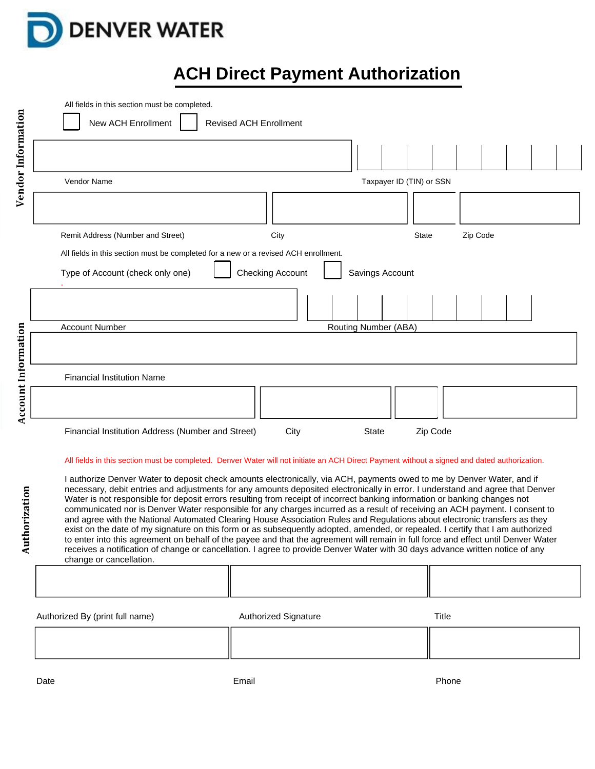

## **ACH Direct Payment Authorization**

| Vendor Information<br>Vendor Name<br>Taxpayer ID (TIN) or SSN                                                                                                                                                                                                                                                                                                                                                                                                                                                                                                                                                                                                                                                                                                                                                                                                                                                                                                                                                                                                                                |          |  |
|----------------------------------------------------------------------------------------------------------------------------------------------------------------------------------------------------------------------------------------------------------------------------------------------------------------------------------------------------------------------------------------------------------------------------------------------------------------------------------------------------------------------------------------------------------------------------------------------------------------------------------------------------------------------------------------------------------------------------------------------------------------------------------------------------------------------------------------------------------------------------------------------------------------------------------------------------------------------------------------------------------------------------------------------------------------------------------------------|----------|--|
|                                                                                                                                                                                                                                                                                                                                                                                                                                                                                                                                                                                                                                                                                                                                                                                                                                                                                                                                                                                                                                                                                              |          |  |
|                                                                                                                                                                                                                                                                                                                                                                                                                                                                                                                                                                                                                                                                                                                                                                                                                                                                                                                                                                                                                                                                                              |          |  |
|                                                                                                                                                                                                                                                                                                                                                                                                                                                                                                                                                                                                                                                                                                                                                                                                                                                                                                                                                                                                                                                                                              |          |  |
| Remit Address (Number and Street)<br>City<br><b>State</b>                                                                                                                                                                                                                                                                                                                                                                                                                                                                                                                                                                                                                                                                                                                                                                                                                                                                                                                                                                                                                                    | Zip Code |  |
| All fields in this section must be completed for a new or a revised ACH enrollment.                                                                                                                                                                                                                                                                                                                                                                                                                                                                                                                                                                                                                                                                                                                                                                                                                                                                                                                                                                                                          |          |  |
| <b>Checking Account</b><br>Type of Account (check only one)<br>Savings Account                                                                                                                                                                                                                                                                                                                                                                                                                                                                                                                                                                                                                                                                                                                                                                                                                                                                                                                                                                                                               |          |  |
|                                                                                                                                                                                                                                                                                                                                                                                                                                                                                                                                                                                                                                                                                                                                                                                                                                                                                                                                                                                                                                                                                              |          |  |
| <b>Account Number</b><br>Routing Number (ABA)                                                                                                                                                                                                                                                                                                                                                                                                                                                                                                                                                                                                                                                                                                                                                                                                                                                                                                                                                                                                                                                |          |  |
|                                                                                                                                                                                                                                                                                                                                                                                                                                                                                                                                                                                                                                                                                                                                                                                                                                                                                                                                                                                                                                                                                              |          |  |
| <b>Financial Institution Name</b>                                                                                                                                                                                                                                                                                                                                                                                                                                                                                                                                                                                                                                                                                                                                                                                                                                                                                                                                                                                                                                                            |          |  |
| <b>Account Information</b>                                                                                                                                                                                                                                                                                                                                                                                                                                                                                                                                                                                                                                                                                                                                                                                                                                                                                                                                                                                                                                                                   |          |  |
| Financial Institution Address (Number and Street)<br>City<br><b>State</b><br>Zip Code                                                                                                                                                                                                                                                                                                                                                                                                                                                                                                                                                                                                                                                                                                                                                                                                                                                                                                                                                                                                        |          |  |
| All fields in this section must be completed. Denver Water will not initiate an ACH Direct Payment without a signed and dated authorization.<br>I authorize Denver Water to deposit check amounts electronically, via ACH, payments owed to me by Denver Water, and if<br>necessary, debit entries and adjustments for any amounts deposited electronically in error. I understand and agree that Denver<br>Authorization<br>Water is not responsible for deposit errors resulting from receipt of incorrect banking information or banking changes not<br>communicated nor is Denver Water responsible for any charges incurred as a result of receiving an ACH payment. I consent to<br>and agree with the National Automated Clearing House Association Rules and Regulations about electronic transfers as they<br>exist on the date of my signature on this form or as subsequently adopted, amended, or repealed. I certify that I am authorized<br>to enter into this agreement on behalf of the payee and that the agreement will remain in full force and effect until Denver Water |          |  |

receives a notification of change or cancellation. I agree to provide Denver Water with 30 days advance written notice of any change or cancellation. Т

| Authorized By (print full name) | <b>Authorized Signature</b> | Title |
|---------------------------------|-----------------------------|-------|
|                                 |                             |       |